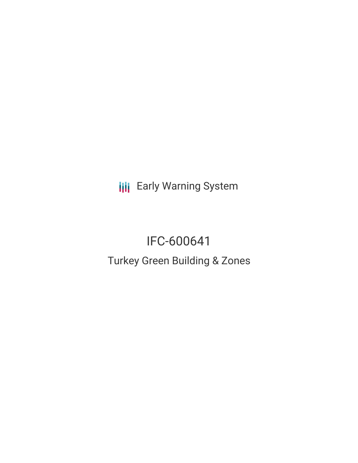**III** Early Warning System

# IFC-600641

Turkey Green Building & Zones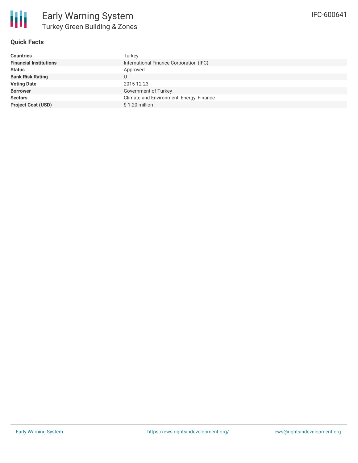

## **Quick Facts**

| Countries                     | Turkey                                   |
|-------------------------------|------------------------------------------|
| <b>Financial Institutions</b> | International Finance Corporation (IFC)  |
| Status                        | Approved                                 |
| <b>Bank Risk Rating</b>       |                                          |
| <b>Voting Date</b>            | 2015-12-23                               |
| <b>Borrower</b>               | Government of Turkey                     |
| <b>Sectors</b>                | Climate and Environment, Energy, Finance |
| <b>Project Cost (USD)</b>     | \$1.20 million                           |
|                               |                                          |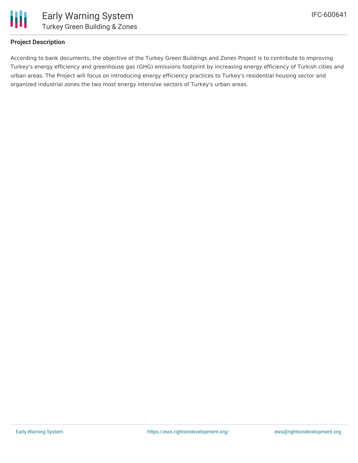

## **Project Description**

According to bank documents, the objective of the Turkey Green Buildings and Zones Project is to contribute to improving Turkey's energy efficiency and greenhouse gas (GHG) emissions footprint by increasing energy efficiency of Turkish cities and urban areas. The Project will focus on introducing energy efficiency practices to Turkey's residential housing sector and organized industrial zones the two most energy intensive sectors of Turkey's urban areas.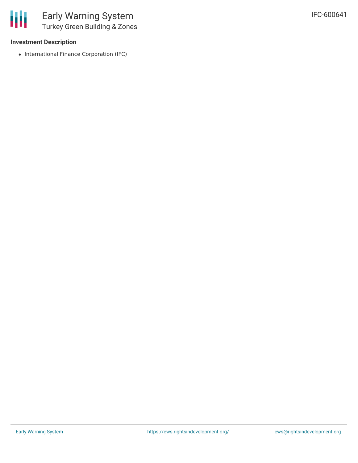

#### **Investment Description**

• International Finance Corporation (IFC)